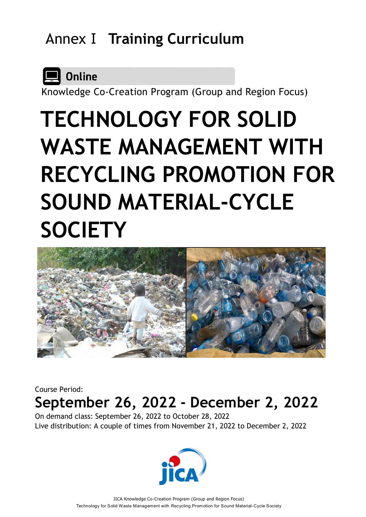# AnnexⅠ **Training Curriculum**



Knowledge Co-Creation Program (Group and Region Focus)

# **TECHNOLOGY FOR SOLID WASTE MANAGEMENT WITH RECYCLING PROMOTION FOR SOUND MATERIAL-CYCLE SOCIETY**



Course Period:

# **September 26, 2022 - December 2, 2022**

On demand class: September 26, 2022 to October 28, 2022 Live distribution: A couple of times from November 21, 2022 to December 2, 2022

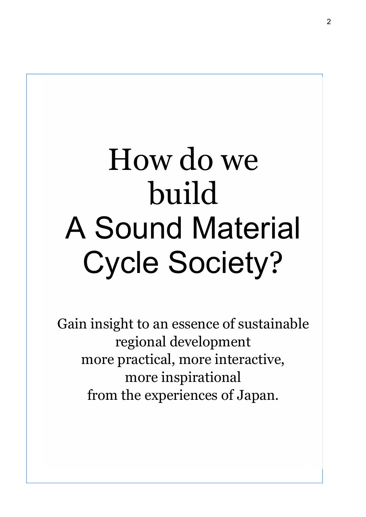# How do we build A Sound Material Cycle Society?

Gain insight to an essence of sustainable regional development more practical, more interactive, more inspirational from the experiences of Japan.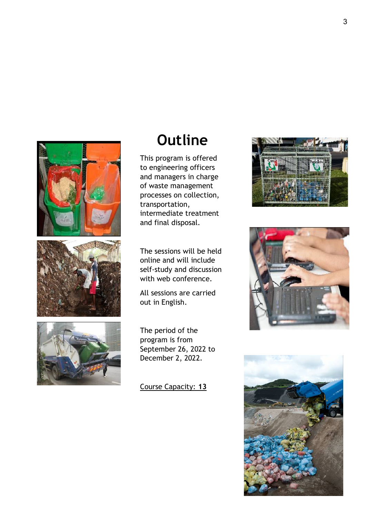





# **Outline**

This program is offered to engineering officers and managers in charge of waste management processes on collection, transportation, intermediate treatment and final disposal.

The sessions will be held online and will include self-study and discussion with web conference.

All sessions are carried out in English.

The period of the program is from September 26, 2022 to December 2, 2022.

Course Capacity: **13**





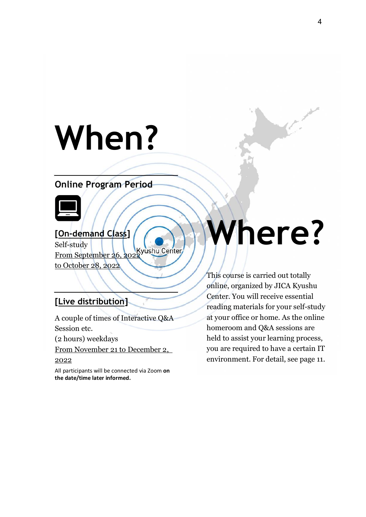# **When?**

# **Online Program Period**



# **[On-demand Class]**

Self-study From September 26, 2022 to October 28, 2022

## **[Live distribution]**

A couple of times of Interactive Q&A Session etc.

(2 hours) weekdays

From November 21 to December 2,

#### 2022

All participants will be connected via Zoom **on the date/time later informed.**

# **Where?**

This course is carried out totally online, organized by JICA Kyushu Center. You will receive essential reading materials for your self-study at your office or home. As the online homeroom and Q&A sessions are held to assist your learning process, you are required to have a certain IT environment. For detail, see page 11.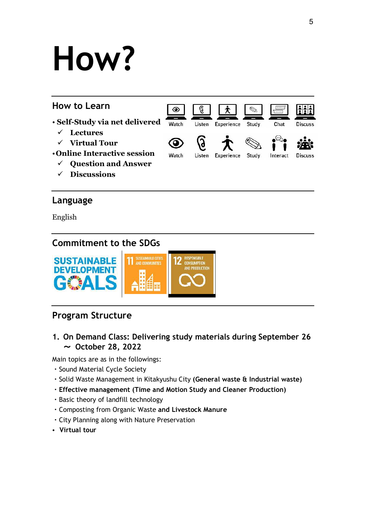# **How?**



### **Language**

English

# **Commitment to the SDGs**



# **Program Structure**

**1. On Demand Class: Delivering study materials during September 26** ~ **October 28, 2022**

Main topics are as in the followings:

- ・Sound Material Cycle Society
- ・Solid Waste Management in Kitakyushu City **(General waste & Industrial waste)**
- ・**Effective management (Time and Motion Study and Cleaner Production)**
- ・Basic theory of landfill technology
- ・Composting from Organic Waste **and Livestock Manure**
- ・City Planning along with Nature Preservation
- **Virtual tour**